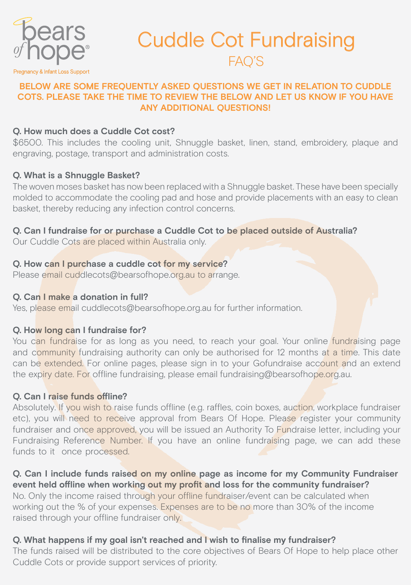

## Cuddle Cot Fundraising FAQ'S

## **BELOW ARE SOME FREQUENTLY ASKED QUESTIONS WE GET IN RELATION TO CUDDLE COTS. PLEASE TAKE THE TIME TO REVIEW THE BELOW AND LET US KNOW IF YOU HAVE ANY ADDITIONAL QUESTIONS!**

## **Q. How much does a Cuddle Cot cost?**

\$6500. This includes the cooling unit, Shnuggle basket, linen, stand, embroidery, plaque and engraving, postage, transport and administration costs.

## **Q. What is a Shnuggle Basket?**

The woven moses basket has now been replaced with a Shnuggle basket. These have been specially molded to accommodate the cooling pad and hose and provide placements with an easy to clean basket, thereby reducing any infection control concerns.

## **Q. Can I fundraise for or purchase a Cuddle Cot to be placed outside of Australia?**

Our Cuddle Cots are placed within Australia only.

## **Q. How can I purchase a cuddle cot for my service?**

Please email cuddlecots@bearsofhope.org.au to arrange.

## **Q. Can I make a donation in full?**

Yes, please email cuddlecots@bearsofhope.org.au for further information.

## **Q. How long can I fundraise for?**

You can fundraise for as long as you need, to reach your goal. Your online fundraising page and community fundraising authority can only be authorised for 12 months at a time. This date can be extended. For online pages, please sign in to your Gofundraise account and an extend the expiry date. For offline fundraising, please email fundraising@bearsofhope.org.au.

## **Q. Can I raise funds offline?**

Absolutely. If you wish to raise funds offline (e.g. raffles, coin boxes, auction, workplace fundraiser etc), you will need to receive approval from Bears Of Hope. Please register your community fundraiser and once approved, you will be issued an Authority To Fundraise letter, including your Fundraising Reference Number. If you have an online fundraising page, we can add these funds to it once processed.

#### **Q. Can I include funds raised on my online page as income for my Community Fundraiser event held offline when working out my profit and loss for the community fundraiser?**

No. Only the income raised through your offline fundraiser/event can be calculated when working out the % of your expenses. Expenses are to be no more than 30% of the income raised through your offline fundraiser only.

## **Q. What happens if my goal isn't reached and I wish to finalise my fundraiser?**

The funds raised will be distributed to the core objectives of Bears Of Hope to help place other Cuddle Cots or provide support services of priority.